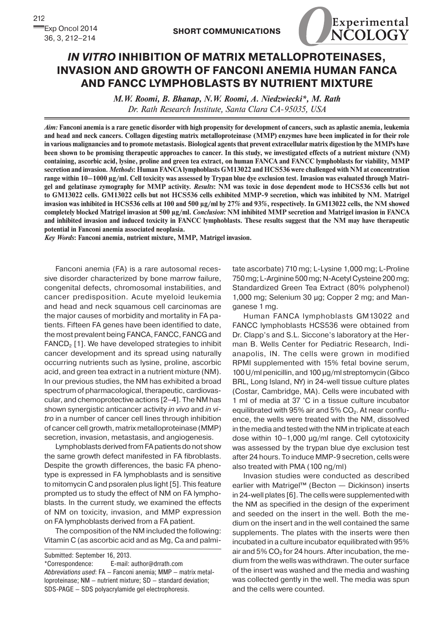

## *In Vitro* **Inhibition of Matrix Metalloproteinases, Invasion and Growth of Fanconi Anemia Human FANCA and FANCC Lymphoblasts by Nutrient Mixture**

*M.W. Roomi, B. Bhanap, N.W. Roomi, A. Niedzwiecki\*, M. Rath Dr. Rath Research Institute, Santa Clara CA-95035, USA*

*Aim:* **Fanconi anemia is a rare genetic disorder with high propensity for development of cancers, such as aplastic anemia, leukemia and head and neck cancers. Collagen digesting matrix metalloproteinase (MMP) enzymes have been implicated in for their role in various malignancies and to promote metastasis. Biological agents that prevent extracellular matrix digestion by the MMPs have been shown to be promising therapeutic approaches to cancer. In this study, we investigated effects of a nutrient mixture (NM) containing, ascorbic acid, lysine, proline and green tea extract, on human FANCA and FANCC lymphoblasts for viability, MMP secretion and invasion.** *Methods***: Human FANCA lymphoblasts GM13022 and HCS536 were challenged with NM at concentration range within 10–1000 µg/ml. Cell toxicity was assessed by Trypan blue dye exclusion test. Invasion was evaluated through Matrigel and gelatinase zymography for MMP activity.** *Results***: NM was toxic in dose dependent mode to HCS536 cells but not to GM13022 cells. GM13022 cells but not HCS536 cells exhibited MMP-9 secretion, which was inhibited by NM. Matrigel invasion was inhibited in HCS536 cells at 100 and 500 µg/ml by 27% and 93%, respectively. In GM13022 cells, the NM showed completely blocked Matrigel invasion at 500 µg/ml.** *Conclusion***: NM inhibited MMP secretion and Matrigel invasion in FANCA and inhibited invasion and induced toxicity in FANCC lymphoblasts. These results suggest that the NM may have therapeutic potential in Fanconi anemia associated neoplasia.**

*Key Words***: Fanconi anemia, nutrient mixture, MMP, Matrigel invasion.**

Fanconi anemia (FA) is a rare autosomal recessive disorder characterized by bone marrow failure, congenital defects, chromosomal instabilities, and cancer predisposition. Acute myeloid leukemia and head and neck squamous cell carcinomas are the major causes of morbidity and mortality in FA patients. Fifteen FA genes have been identified to date, the most prevalent being FANCA, FANCC, FANCG and  $FANCD<sub>2</sub>$  [1]. We have developed strategies to inhibit cancer development and its spread using naturally occurring nutrients such as lysine, proline, ascorbic acid, and green tea extract in a nutrient mixture (NM). In our previous studies, the NM has exhibited a broad spectrum of pharmacological, therapeutic, cardiovascular, and chemoprotective actions [2–4]. The NM has shown synergistic anticancer activity *in vivo* and *in vitro* in a number of cancer cell lines through inhibition of cancer cell growth, matrix metalloproteinase (MMP) secretion, invasion, metastasis, and angiogenesis.

Lymphoblasts derived from FA patients do not show the same growth defect manifested in FA fibroblasts. Despite the growth differences, the basic FA phenotype is expressed in FA lymphoblasts and is sensitive to mitomycin C and psoralen plus light [5]. This feature prompted us to study the effect of NM on FA lymphoblasts. In the current study, we examined the effects of NM on toxicity, invasion, and MMP expression on FA lymphoblasts derived from a FA patient.

The composition of the NM included the following: Vitamin C (as ascorbic acid and as Mg, Ca and palmi-

Submitted: September 16, 2013.

\*Correspondence: E-mail: author@drrath.com *Abbreviations used*: FA — Fanconi anemia; MMP — matrix metalloproteinase; NM — nutrient mixture; SD — standard deviation; SDS-PAGE — SDS polyacrylamide gel electrophoresis.

tate ascorbate) 710 mg; L-Lysine 1,000 mg; L-Proline 750 mg; L-Arginine 500 mg; N-Acetyl Cysteine 200 mg; Standardized Green Tea Extract (80% polyphenol) 1,000 mg; Selenium 30 µg; Copper 2 mg; and Manganese 1 mg.

Human FANCA lymphoblasts GM13022 and FANCC lymphoblasts HCS536 were obtained from Dr. Clapp's and S.L. Siccone's laboratory at the Herman B. Wells Center for Pediatric Research, Indianapolis, IN. The cells were grown in modified RPMI supplemented with 15% fetal bovine serum, 100 U/ml penicillin, and 100 µg/ml streptomycin (Gibco BRL, Long Island, NY) in 24-well tissue culture plates (Costar, Cambridge, MA). Cells were incubated with 1 ml of media at 37 °C in a tissue culture incubator equilibrated with 95% air and 5%  $CO<sub>2</sub>$ . At near confluence, the wells were treated with the NM, dissolved in the media and tested with the NM in triplicate at each dose within 10–1,000 µg/ml range. Cell cytotoxicity was assessed by the trypan blue dye exclusion test after 24 hours. To induce MMP-9 secretion, cells were also treated with PMA (100 ng/ml)

Invasion studies were conducted as described earlier with Matrigel™ (Becton — Dickinson) inserts in 24-well plates [6]. The cells were supplemented with the NM as specified in the design of the experiment and seeded on the insert in the well. Both the medium on the insert and in the well contained the same supplements. The plates with the inserts were then incubated in a culture incubator equilibrated with 95% air and  $5\%$  CO<sub>2</sub> for 24 hours. After incubation, the medium from the wells was withdrawn. The outer surface of the insert was washed and the media and washing was collected gently in the well. The media was spun and the cells were counted.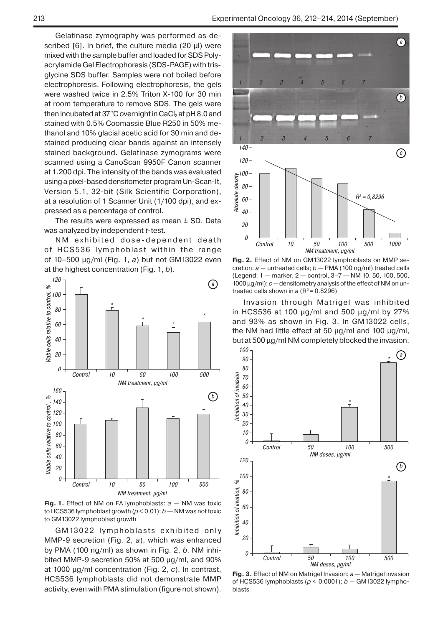Gelatinase zymography was performed as described  $[6]$ . In brief, the culture media (20  $\mu$ I) were mixed with the sample buffer and loaded for SDS Polyacrylamide Gel Electrophoresis (SDS-PAGE) with trisglycine SDS buffer. Samples were not boiled before electrophoresis. Following electrophoresis, the gels were washed twice in 2.5% Triton X-100 for 30 min at room temperature to remove SDS. The gels were then incubated at 37 °C overnight in CaCl<sub>2</sub> at pH 8.0 and stained with 0.5% Coomassie Blue R250 in 50% methanol and 10% glacial acetic acid for 30 min and destained producing clear bands against an intensely stained background. Gelatinase zymograms were scanned using a CanoScan 9950F Canon scanner at 1.200 dpi. The intensity of the bands was evaluated using a pixel-based densitometer program Un-Scan-It, Version 5.1, 32-bit (Silk Scientific Corporation), at a resolution of 1 Scanner Unit (1/100 dpi), and expressed as a percentage of control.

The results were expressed as mean  $\pm$  SD. Data was analyzed by independent *t*-test.

NM exhibited dose-dependent death of HCS536 lymphoblast within the range of 10–500 µg/ml (Fig. 1, *a*) but not GM13022 even at the highest concentration (Fig. 1, *b*).



**Fig. 1.** Effect of NM on FA lymphoblasts: *a* — NM was toxic to HCS536 lymphoblast growth (*p* < 0.01); *b* — NM was not toxic to GM13022 lymphoblast growth

GM 13022 lymphoblasts exhibited only MMP-9 secretion (Fig. 2, *a*), which was enhanced by PMA (100 ng/ml) as shown in Fig. 2, *b*. NM inhibited MMP-9 secretion 50% at 500 µg/ml, and 90% at 1000 µg/ml concentration (Fig. 2, *c*). In contrast, HCS536 lymphoblasts did not demonstrate MMP activity, even with PMA stimulation (figure not shown).



**Fig. 2.** Effect of NM on GM13022 lymphoblasts on MMP secretion: *a —* untreated cells; *b —* PMA (100 ng/ml) treated cells (Legend: 1 — marker, 2 — control, 3–7 — NM 10, 50, 100, 500, 1000 µg/ml); *c —* densitometry analysis of the effect of NM on untreated cells shown in  $a (R^2 = 0.8296)$ 

Invasion through Matrigel was inhibited in HCS536 at 100 µg/ml and 500 µg/ml by 27% and 93% as shown in Fig. 3. In GM13022 cells, the NM had little effect at 50 µg/ml and 100 µg/ml, but at 500 µg/ml NM completely blocked the invasion.



**Fig. 3.** Effect of NM on Matrigel Invasion: *a —* Matrigel invasion of HCS536 lymphoblasts (*p* < 0.0001); *b —* GM13022 lymphoblasts